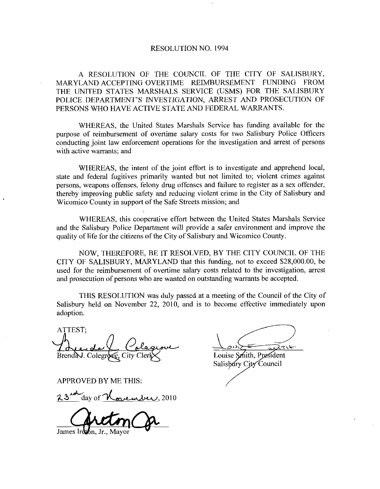## RESOLUTION NO 1994

A RESOLUTION OF THE COUNCIL OF THE CITY OF SALISBURY MARYLAND ACCEPTING OVERTIME REIMBURSEMENT FUNDING FROM THE UNITED STATES MARSHALS SERVICE (USMS) FOR THE SALISBURY RESOLUTION NO. 1994<br>A RESOLUTION OF THE COUNCIL OF THE CITY OF SALISBURY,<br>MARYLAND ACCEPTING OVERTIME REIMBURSEMENT FUNDING FROM<br>THE UNITED STATES MARSHALS SERVICE (USMS) FOR THE SALISBURY<br>POLICE DEPARTMENT'S INVESTIGATION PERSONS WHO HAVE ACTIVE STATE AND FEDERAL WARRANTS

WHEREAS, the United States Marshals Service has funding available for the purpose of reimbursement of overtime salary costs for two Salisbury Police Officers conducting joint law enforcement operations for the investigation and arrest of persons with active warrants; and

WHEREAS, the intent of the joint effort is to investigate and apprehend local, state and federal fugitives primarily wanted but not limited to; violent crimes against persons, weapons offenses, felony drug offenses and failure to register as a sex offender, thereby improving public safety and reducing violent crime in the City of Salisbury and Wicomico County in support of the Safe Streets mission; and

WHEREAS, this cooperative effort between the United States Marshals Service and the Salisbury Police Department will provide <sup>a</sup> safer environment and improve the quality of life for the citizens of the City of Salisbury and Wicomico County.

NOW, THEREFORE, BE IT RESOLVED, BY THE CITY COUNCIL OF THE CITY OF SALISBURY, MARYLAND that this funding, not to exceed \$28,000.00, be used for the reimbursement of overtime salary costs related to the investigation arrest and prosecution of persons who are wanted on outstanding warrants be accepted.

THIS RESOLUTION was duly passed at ameeting ofthe Council ofthe City of Salisbury held on November 22, 2010, and is to become effective immediately upon adoption

ATTEST Brenda J. Colegr ATTEST;<br>Brendal. Colegrace Colegrace<br>APPROVED BY ME THIS:<br>23 day of <u>November</u>, 2010

APPROVED BY ME THIS

James Iretton.

Louise Smith, President Salisbury City Council